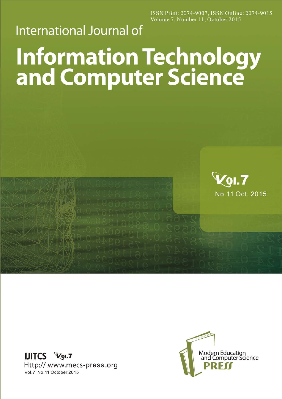ISSN Print: 2074-9007, ISSN Online: 2074-9015 Volume 7, Number 11, October 2015

## **International Journal of**

## **Information Technology<br>and Computer Science**





**Zol.7** 

No.11 Oct. 2015